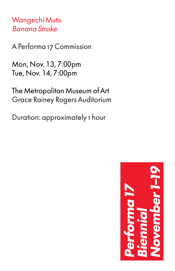Wangechi Mutu Banana Stroke

A Performa 17 Commission

Mon, Nov. 13, 7:00pm Tue, Nov. 14, 7:00pm

The Metropolitan Museum of Art Grace Rainey Rogers Auditorium

Duration: approximately 1 hour

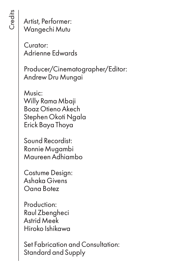Artist, Performer: Wangechi Mutu

Curator: Adrienne Edwards

Producer/Cinematographer/Editor: Andrew Dru Mungai

Music: Willy Rama Mbaji Boaz Otieno Akech Stephen Okoti Ngala Erick Baya Thoya

Sound Recordist: Ronnie Mugambi Maureen Adhiambo

Costume Design: Ashaka Givens Oana Botez

Production: Raul Zbengheci Astrid Meek Hiroko Ishikawa

Set Fabrication and Consultation: Standard and Supply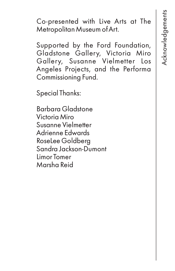Co-presented with Live Arts at The Metropolitan Museum of Art.

Supported by the Ford Foundation, Gladstone Gallery, Victoria Miro Gallery, Susanne Vielmetter Los Angeles Projects, and the Performa Commissioning Fund.

Special Thanks:

Barbara Gladstone Victoria Miro Susanne Vielmetter Adrienne Edwards RoseLee Goldberg Sandra Jackson-Dumont Limor Tomer Marsha Reid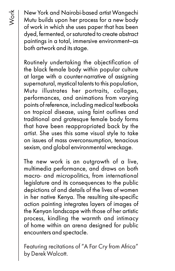New York and Nairobi-based artist Wangechi Mutu builds upon her process for a new body of work in which she uses paper that has been dyed, fermented, or saturated to create abstract paintings in a total, immersive environment—as both artwork and its stage.

Routinely undertaking the objectification of the black female body within popular culture at large with a counter-narrative of assigning supernatural, mystical talents to this population, Mutu illustrates her portraits, collages, performances, and animations from varying points of reference, including medical textbooks on tropical disease, using faint outlines and traditional and grotesque female body forms that have been reappropriated back by the artist. She uses this same visual style to take on issues of mass overconsumption, tenacious sexism, and global environmental wreckage.

The new work is an outgrowth of a live, multimedia performance, and draws on both macro- and micropolitics, from international legislature and its consequences to the public depictions of and details of the lives of women in her native Kenya. The resulting site-specific action painting integrates layers of images of the Kenyan landscape with those of her artistic process, kindling the warmth and intimacy of home within an arena designed for public encounters and spectacle.

Featuring recitations of "A Far Cry from Africa" by Derek Walcott.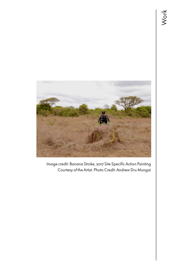

Image credit: Banana Stroke, 2017 Site Specific Action Painting Courtesy of the Artist. Photo Credit: Andrew Dru Mungai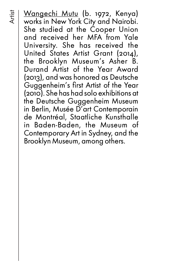Artist

Wangechi Mutu (b. 1972, Kenya) works in New York City and Nairobi. She studied at the Cooper Union and received her MFA from Yale University. She has received the United States Artist Grant (2014), the Brooklyn Museum's Asher B. Durand Artist of the Year Award (2013), and was honored as Deutsche Guggenheim's first Artist of the Year (2010). She has had solo exhibitions at the Deutsche Guggenheim Museum in Berlin, Musée D'art Contemporain de Montréal, Staatliche Kunsthalle in Baden-Baden, the Museum of Contemporary Art in Sydney, and the Brooklyn Museum, among others.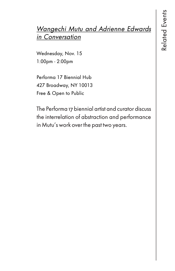## Wangechi Mutu and Adrienne Edwards in Conversation

Wednesday, Nov. 15 1:00pm - 2:00pm

Performa 17 Biennial Hub 427 Broadway, NY 10013 Free & Open to Public

The Performa 17 biennial artist and curator discuss the interrelation of abstraction and performance in Mutu's work over the past two years.